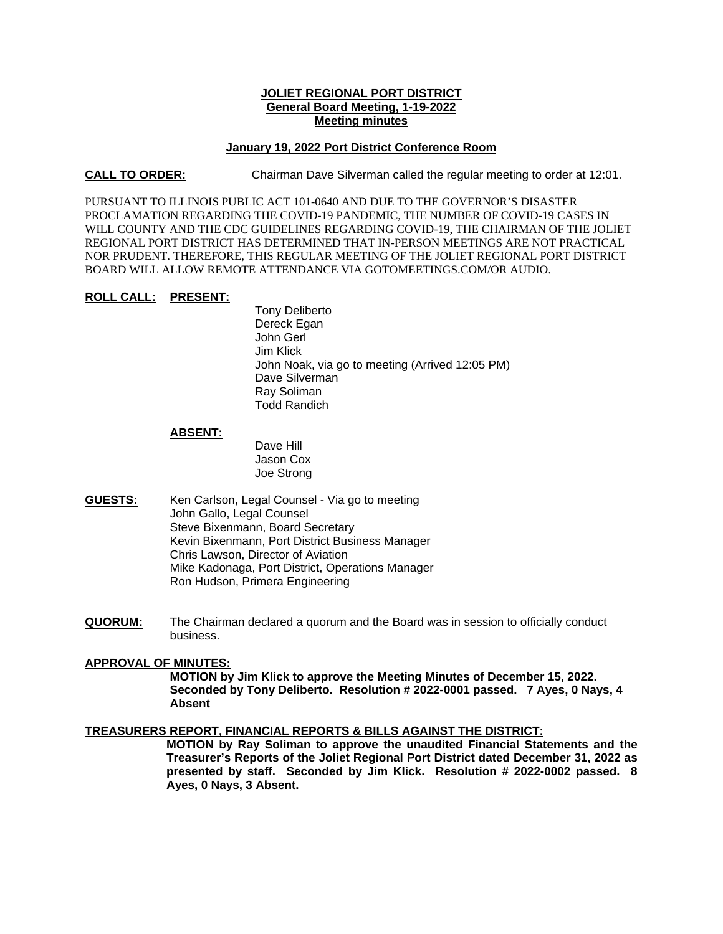## **JOLIET REGIONAL PORT DISTRICT General Board Meeting, 1-19-2022 Meeting minutes**

### **January 19, 2022 Port District Conference Room**

### **CALL TO ORDER:** Chairman Dave Silverman called the regular meeting to order at 12:01.

PURSUANT TO ILLINOIS PUBLIC ACT 101-0640 AND DUE TO THE GOVERNOR'S DISASTER PROCLAMATION REGARDING THE COVID-19 PANDEMIC, THE NUMBER OF COVID-19 CASES IN WILL COUNTY AND THE CDC GUIDELINES REGARDING COVID-19, THE CHAIRMAN OF THE JOLIET REGIONAL PORT DISTRICT HAS DETERMINED THAT IN-PERSON MEETINGS ARE NOT PRACTICAL NOR PRUDENT. THEREFORE, THIS REGULAR MEETING OF THE JOLIET REGIONAL PORT DISTRICT BOARD WILL ALLOW REMOTE ATTENDANCE VIA GOTOMEETINGS.COM/OR AUDIO.

#### **ROLL CALL: PRESENT:**

Tony Deliberto Dereck Egan John Gerl Jim Klick John Noak, via go to meeting (Arrived 12:05 PM) Dave Silverman Ray Soliman Todd Randich

#### **ABSENT:**

Dave Hill Jason Cox Joe Strong

- **GUESTS:** Ken Carlson, Legal Counsel Via go to meeting John Gallo, Legal Counsel Steve Bixenmann, Board Secretary Kevin Bixenmann, Port District Business Manager Chris Lawson, Director of Aviation Mike Kadonaga, Port District, Operations Manager Ron Hudson, Primera Engineering
- **QUORUM:** The Chairman declared a quorum and the Board was in session to officially conduct business.

# **APPROVAL OF MINUTES:**

**MOTION by Jim Klick to approve the Meeting Minutes of December 15, 2022. Seconded by Tony Deliberto. Resolution # 2022-0001 passed. 7 Ayes, 0 Nays, 4 Absent** 

#### **TREASURERS REPORT, FINANCIAL REPORTS & BILLS AGAINST THE DISTRICT:**

**MOTION by Ray Soliman to approve the unaudited Financial Statements and the Treasurer's Reports of the Joliet Regional Port District dated December 31, 2022 as presented by staff. Seconded by Jim Klick. Resolution # 2022-0002 passed. 8 Ayes, 0 Nays, 3 Absent.**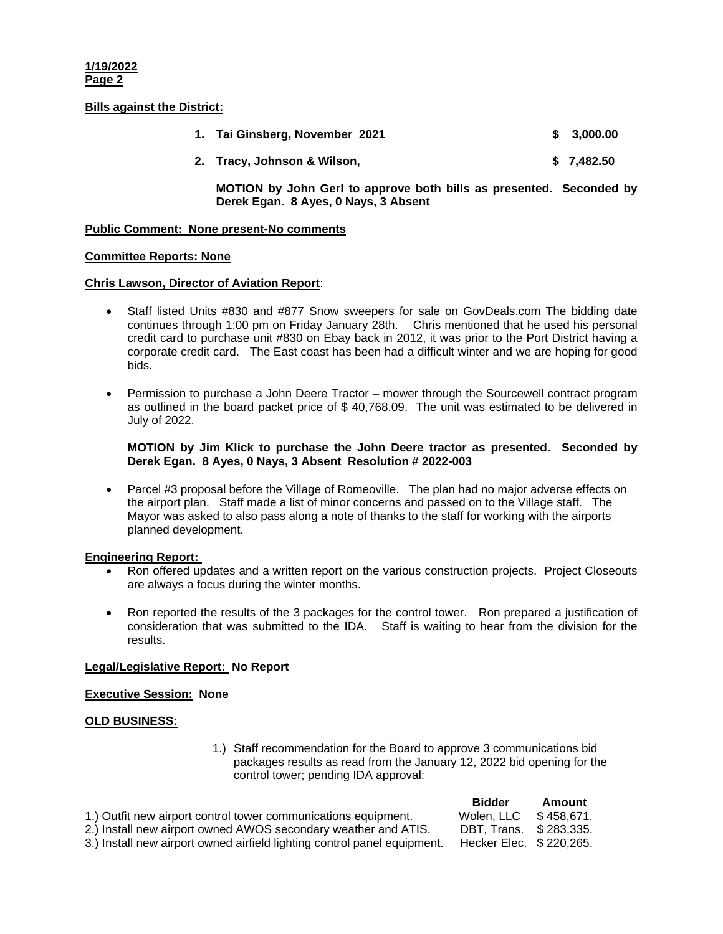**1/19/2022 Page 2** 

### **Bills against the District:**

| 1. Tai Ginsberg, November 2021 | \$ 3,000,00 |
|--------------------------------|-------------|
| 2. Tracy, Johnson & Wilson,    | \$7,482.50  |

**MOTION by John Gerl to approve both bills as presented. Seconded by Derek Egan. 8 Ayes, 0 Nays, 3 Absent** 

### **Public Comment: None present-No comments**

### **Committee Reports: None**

### **Chris Lawson, Director of Aviation Report**:

- Staff listed Units #830 and #877 Snow sweepers for sale on GovDeals.com The bidding date continues through 1:00 pm on Friday January 28th. Chris mentioned that he used his personal credit card to purchase unit #830 on Ebay back in 2012, it was prior to the Port District having a corporate credit card. The East coast has been had a difficult winter and we are hoping for good bids.
- Permission to purchase a John Deere Tractor mower through the Sourcewell contract program as outlined in the board packet price of \$ 40,768.09. The unit was estimated to be delivered in July of 2022.

**MOTION by Jim Klick to purchase the John Deere tractor as presented. Seconded by Derek Egan. 8 Ayes, 0 Nays, 3 Absent Resolution # 2022-003** 

 Parcel #3 proposal before the Village of Romeoville. The plan had no major adverse effects on the airport plan. Staff made a list of minor concerns and passed on to the Village staff. The Mayor was asked to also pass along a note of thanks to the staff for working with the airports planned development.

## **Engineering Report:**

- Ron offered updates and a written report on the various construction projects. Project Closeouts are always a focus during the winter months.
- Ron reported the results of the 3 packages for the control tower. Ron prepared a justification of consideration that was submitted to the IDA. Staff is waiting to hear from the division for the results.

## **Legal/Legislative Report: No Report**

#### **Executive Session: None**

## **OLD BUSINESS:**

1.) Staff recommendation for the Board to approve 3 communications bid packages results as read from the January 12, 2022 bid opening for the control tower; pending IDA approval:

|                                                                          | <b>Bidder</b>            | Amount |
|--------------------------------------------------------------------------|--------------------------|--------|
| 1.) Outfit new airport control tower communications equipment.           | Wolen, LLC \$458.671.    |        |
| 2.) Install new airport owned AWOS secondary weather and ATIS.           | DBT. Trans. \$283.335.   |        |
| 3.) Install new airport owned airfield lighting control panel equipment. | Hecker Elec. \$ 220,265. |        |